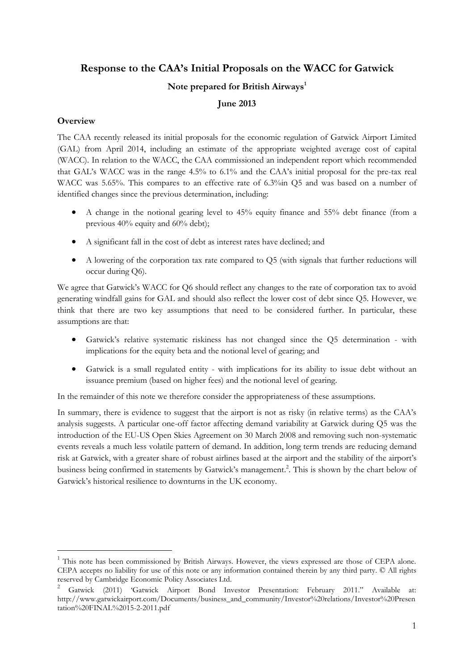# **Response to the CAA's Initial Proposals on the WACC for Gatwick**

# **Note prepared for British Airways<sup>1</sup>**

# **June 2013**

## **Overview**

<u>.</u>

The CAA recently released its initial proposals for the economic regulation of Gatwick Airport Limited (GAL) from April 2014, including an estimate of the appropriate weighted average cost of capital (WACC). In relation to the WACC, the CAA commissioned an independent report which recommended that GAL's WACC was in the range 4.5% to 6.1% and the CAA's initial proposal for the pre-tax real WACC was 5.65%. This compares to an effective rate of 6.3%in Q5 and was based on a number of identified changes since the previous determination, including:

- A change in the notional gearing level to 45% equity finance and 55% debt finance (from a previous 40% equity and 60% debt);
- A significant fall in the cost of debt as interest rates have declined; and
- A lowering of the corporation tax rate compared to Q5 (with signals that further reductions will occur during Q6).

We agree that Gatwick's WACC for Q6 should reflect any changes to the rate of corporation tax to avoid generating windfall gains for GAL and should also reflect the lower cost of debt since Q5. However, we think that there are two key assumptions that need to be considered further. In particular, these assumptions are that:

- Gatwick's relative systematic riskiness has not changed since the Q5 determination with implications for the equity beta and the notional level of gearing; and
- Gatwick is a small regulated entity with implications for its ability to issue debt without an issuance premium (based on higher fees) and the notional level of gearing.

In the remainder of this note we therefore consider the appropriateness of these assumptions.

In summary, there is evidence to suggest that the airport is not as risky (in relative terms) as the CAA's analysis suggests. A particular one-off factor affecting demand variability at Gatwick during Q5 was the introduction of the EU-US Open Skies Agreement on 30 March 2008 and removing such non-systematic events reveals a much less volatile pattern of demand. In addition, long term trends are reducing demand risk at Gatwick, with a greater share of robust airlines based at the airport and the stability of the airport's business being confirmed in statements by Gatwick's management. 2 . This is shown by the chart below of Gatwick's historical resilience to downturns in the UK economy.

<sup>1</sup> This note has been commissioned by British Airways. However, the views expressed are those of CEPA alone. CEPA accepts no liability for use of this note or any information contained therein by any third party. © All rights reserved by Cambridge Economic Policy Associates Ltd.

<sup>2</sup> Gatwick (2011) 'Gatwick Airport Bond Investor Presentation: February 2011." Available at: http://www.gatwickairport.com/Documents/business\_and\_community/Investor%20relations/Investor%20Presen tation%20FINAL%2015-2-2011.pdf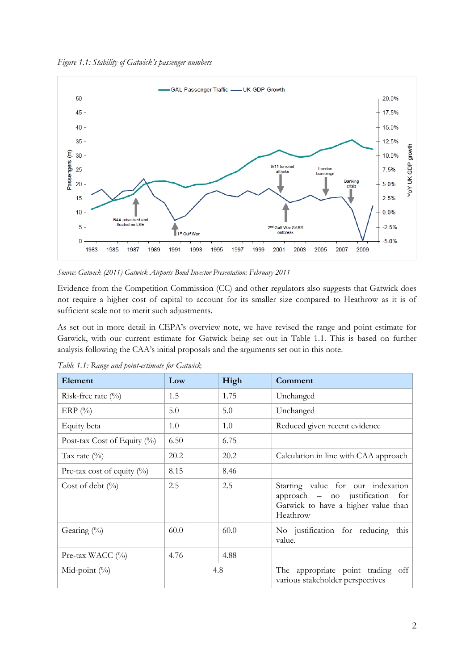*Figure 1.1: Stability of Gatwick's passenger numbers*



*Source: Gatwick (2011) Gatwick Airports Bond Investor Presentation: February 2011*

Evidence from the Competition Commission (CC) and other regulators also suggests that Gatwick does not require a higher cost of capital to account for its smaller size compared to Heathrow as it is of sufficient scale not to merit such adjustments.

As set out in more detail in CEPA's overview note, we have revised the range and point estimate for Gatwick, with our current estimate for Gatwick being set out in Table 1.1. This is based on further analysis following the CAA's initial proposals and the arguments set out in this note.

| Element                        | Low  | High | Comment                                                                                                                 |
|--------------------------------|------|------|-------------------------------------------------------------------------------------------------------------------------|
| Risk-free rate $(\%)$          | 1.5  | 1.75 | Unchanged                                                                                                               |
| ERP $(\%)$                     | 5.0  | 5.0  | Unchanged                                                                                                               |
| Equity beta                    | 1.0  | 1.0  | Reduced given recent evidence                                                                                           |
| Post-tax Cost of Equity $(\%)$ | 6.50 | 6.75 |                                                                                                                         |
| Tax rate $(\%)$                | 20.2 | 20.2 | Calculation in line with CAA approach                                                                                   |
| Pre-tax cost of equity $(\%)$  | 8.15 | 8.46 |                                                                                                                         |
| Cost of debt $(\%$             | 2.5  | 2.5  | Starting value for our indexation<br>approach – no justification for<br>Gatwick to have a higher value than<br>Heathrow |
| Gearing $(\%)$                 | 60.0 | 60.0 | No justification for reducing this<br>value.                                                                            |
| Pre-tax WACC $(\%)$            | 4.76 | 4.88 |                                                                                                                         |
| Mid-point $(\%)$               | 4.8  |      | The appropriate point trading off<br>various stakeholder perspectives                                                   |

*Table 1.1: Range and point-estimate for Gatwick*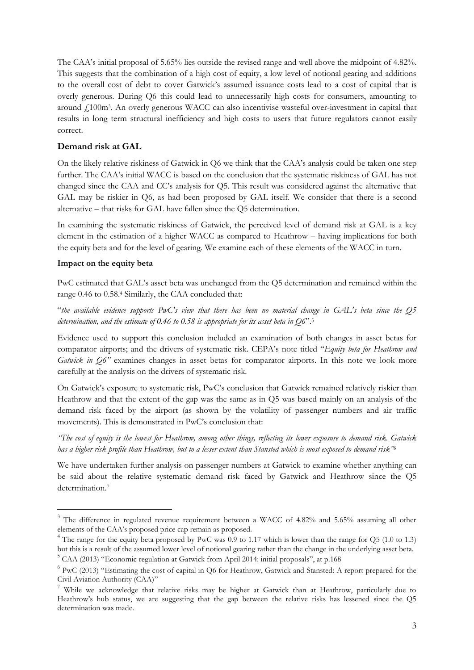The CAA's initial proposal of 5.65% lies outside the revised range and well above the midpoint of 4.82%. This suggests that the combination of a high cost of equity, a low level of notional gearing and additions to the overall cost of debt to cover Gatwick's assumed issuance costs lead to a cost of capital that is overly generous. During Q6 this could lead to unnecessarily high costs for consumers, amounting to around £100m<sup>3</sup> . An overly generous WACC can also incentivise wasteful over-investment in capital that results in long term structural inefficiency and high costs to users that future regulators cannot easily correct.

# **Demand risk at GAL**

On the likely relative riskiness of Gatwick in Q6 we think that the CAA's analysis could be taken one step further. The CAA's initial WACC is based on the conclusion that the systematic riskiness of GAL has not changed since the CAA and CC's analysis for Q5. This result was considered against the alternative that GAL may be riskier in Q6, as had been proposed by GAL itself. We consider that there is a second alternative – that risks for GAL have fallen since the Q5 determination.

In examining the systematic riskiness of Gatwick, the perceived level of demand risk at GAL is a key element in the estimation of a higher WACC as compared to Heathrow – having implications for both the equity beta and for the level of gearing. We examine each of these elements of the WACC in turn.

## **Impact on the equity beta**

<u>.</u>

PwC estimated that GAL's asset beta was unchanged from the Q5 determination and remained within the range 0.46 to 0.58.<sup>4</sup> Similarly, the CAA concluded that:

"*the available evidence supports PwC's view that there has been no material change in GAL's beta since the Q5 determination, and the estimate of 0.46 to 0.58 is appropriate for its asset beta in Q6*".<sup>5</sup>

Evidence used to support this conclusion included an examination of both changes in asset betas for comparator airports; and the drivers of systematic risk. CEPA's note titled "*Equity beta for Heathrow and Gatwick in Q6"* examines changes in asset betas for comparator airports. In this note we look more carefully at the analysis on the drivers of systematic risk.

On Gatwick's exposure to systematic risk, PwC's conclusion that Gatwick remained relatively riskier than Heathrow and that the extent of the gap was the same as in Q5 was based mainly on an analysis of the demand risk faced by the airport (as shown by the volatility of passenger numbers and air traffic movements). This is demonstrated in PwC's conclusion that:

*"The cost of equity is the lowest for Heathrow, among other things, reflecting its lower exposure to demand risk. Gatwick has a higher risk profile than Heathrow, but to a lesser extent than Stansted which is most exposed to demand risk" 6*

We have undertaken further analysis on passenger numbers at Gatwick to examine whether anything can be said about the relative systematic demand risk faced by Gatwick and Heathrow since the Q5 determination.<sup>7</sup>

<sup>&</sup>lt;sup>3</sup> The difference in regulated revenue requirement between a WACC of 4.82% and 5.65% assuming all other elements of the CAA's proposed price cap remain as proposed.

<sup>&</sup>lt;sup>4</sup> The range for the equity beta proposed by PwC was 0.9 to 1.17 which is lower than the range for Q5 (1.0 to 1.3) but this is a result of the assumed lower level of notional gearing rather than the change in the underlying asset beta.

<sup>&</sup>lt;sup>5</sup> CAA (2013) "Economic regulation at Gatwick from April 2014: initial proposals", at p.168

 $6$  PwC (2013) "Estimating the cost of capital in Q6 for Heathrow, Gatwick and Stansted: A report prepared for the Civil Aviation Authority (CAA)"

<sup>7</sup> While we acknowledge that relative risks may be higher at Gatwick than at Heathrow, particularly due to Heathrow's hub status, we are suggesting that the gap between the relative risks has lessened since the Q5 determination was made.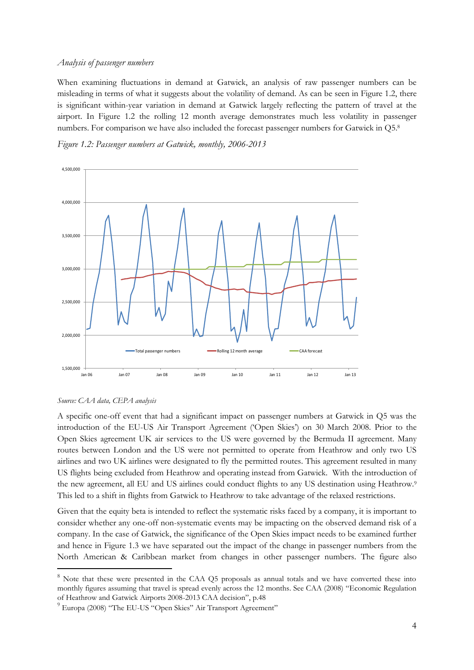## *Analysis of passenger numbers*

When examining fluctuations in demand at Gatwick, an analysis of raw passenger numbers can be misleading in terms of what it suggests about the volatility of demand. As can be seen in Figure 1.2, there is significant within-year variation in demand at Gatwick largely reflecting the pattern of travel at the airport. In Figure 1.2 the rolling 12 month average demonstrates much less volatility in passenger numbers. For comparison we have also included the forecast passenger numbers for Gatwick in Q5.<sup>8</sup>





#### *Source: CAA data, CEPA analysis*

-

A specific one-off event that had a significant impact on passenger numbers at Gatwick in Q5 was the introduction of the EU-US Air Transport Agreement ('Open Skies') on 30 March 2008. Prior to the Open Skies agreement UK air services to the US were governed by the Bermuda II agreement. Many routes between London and the US were not permitted to operate from Heathrow and only two US airlines and two UK airlines were designated to fly the permitted routes. This agreement resulted in many US flights being excluded from Heathrow and operating instead from Gatwick. With the introduction of the new agreement, all EU and US airlines could conduct flights to any US destination using Heathrow.<sup>9</sup> This led to a shift in flights from Gatwick to Heathrow to take advantage of the relaxed restrictions.

Given that the equity beta is intended to reflect the systematic risks faced by a company, it is important to consider whether any one-off non-systematic events may be impacting on the observed demand risk of a company. In the case of Gatwick, the significance of the Open Skies impact needs to be examined further and hence in Figure 1.3 we have separated out the impact of the change in passenger numbers from the North American & Caribbean market from changes in other passenger numbers. The figure also

<sup>&</sup>lt;sup>8</sup> Note that these were presented in the CAA Q5 proposals as annual totals and we have converted these into monthly figures assuming that travel is spread evenly across the 12 months. See CAA (2008) "Economic Regulation of Heathrow and Gatwick Airports 2008-2013 CAA decision", p.48

<sup>&</sup>lt;sup>9</sup> Europa (2008) "The EU-US "Open Skies" Air Transport Agreement"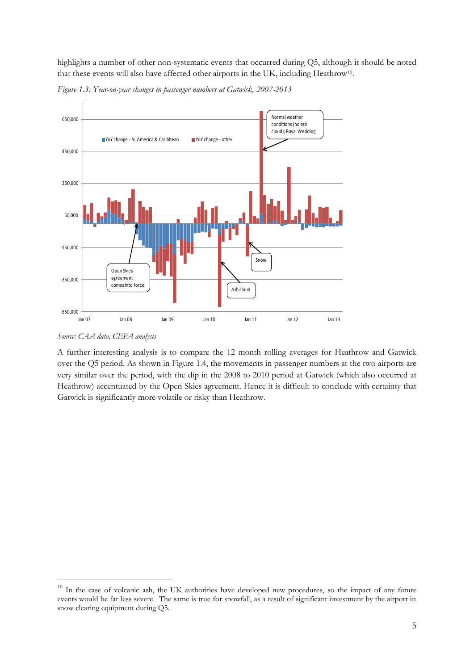highlights a number of other non-systematic events that occurred during Q5, although it should be noted that these events will also have affected other airports in the UK, including Heathrow<sup>10</sup>.



*Figure 1.3: Year-on-year changes in passenger numbers at Gatwick, 2007-2013*

-

A further interesting analysis is to compare the 12 month rolling averages for Heathrow and Gatwick over the Q5 period. As shown in Figure 1.4, the movements in passenger numbers at the two airports are very similar over the period, with the dip in the 2008 to 2010 period at Gatwick (which also occurred at Heathrow) accentuated by the Open Skies agreement. Hence it is difficult to conclude with certainty that Gatwick is significantly more volatile or risky than Heathrow.

*Source: CAA data, CEPA analysis*

<sup>&</sup>lt;sup>10</sup> In the case of volcanic ash, the UK authorities have developed new procedures, so the impact of any future events would be far less severe. The same is true for snowfall, as a result of significant investment by the airport in snow clearing equipment during Q5.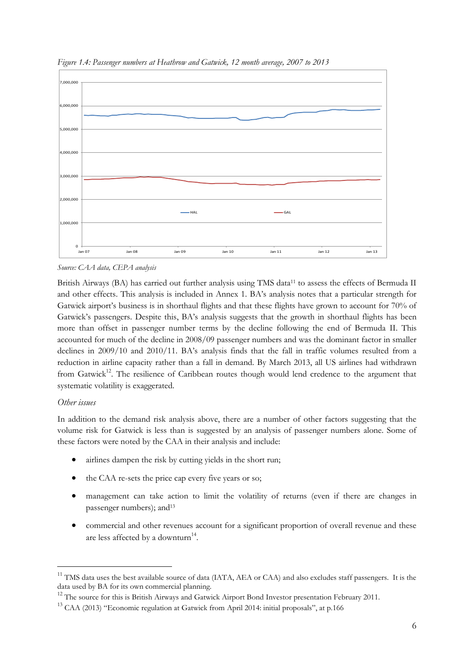

*Figure 1.4: Passenger numbers at Heathrow and Gatwick, 12 month average, 2007 to 2013*

*Source: CAA data, CEPA analysis*

British Airways (BA) has carried out further analysis using TMS data<sup>11</sup> to assess the effects of Bermuda II and other effects. This analysis is included in Annex 1. BA's analysis notes that a particular strength for Gatwick airport's business is in shorthaul flights and that these flights have grown to account for 70% of Gatwick's passengers. Despite this, BA's analysis suggests that the growth in shorthaul flights has been more than offset in passenger number terms by the decline following the end of Bermuda II. This accounted for much of the decline in 2008/09 passenger numbers and was the dominant factor in smaller declines in 2009/10 and 2010/11. BA's analysis finds that the fall in traffic volumes resulted from a reduction in airline capacity rather than a fall in demand. By March 2013, all US airlines had withdrawn from Gatwick<sup>12</sup>. The resilience of Caribbean routes though would lend credence to the argument that systematic volatility is exaggerated.

# *Other issues*

-

In addition to the demand risk analysis above, there are a number of other factors suggesting that the volume risk for Gatwick is less than is suggested by an analysis of passenger numbers alone. Some of these factors were noted by the CAA in their analysis and include:

- airlines dampen the risk by cutting yields in the short run;
- the CAA re-sets the price cap every five years or so;
- management can take action to limit the volatility of returns (even if there are changes in passenger numbers); and<sup>13</sup>
- commercial and other revenues account for a significant proportion of overall revenue and these are less affected by a downturn<sup>14</sup>.

<sup>&</sup>lt;sup>11</sup> TMS data uses the best available source of data (IATA, AEA or CAA) and also excludes staff passengers. It is the data used by BA for its own commercial planning.

<sup>&</sup>lt;sup>12</sup> The source for this is British Airways and Gatwick Airport Bond Investor presentation February 2011.

<sup>&</sup>lt;sup>13</sup> CAA (2013) "Economic regulation at Gatwick from April 2014: initial proposals", at p.166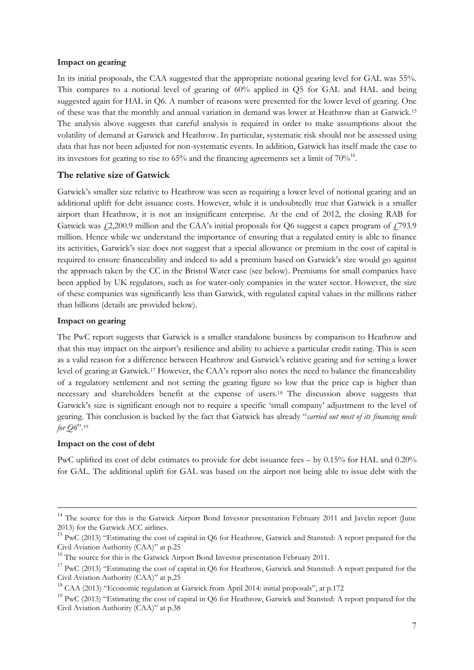## **Impact on gearing**

In its initial proposals, the CAA suggested that the appropriate notional gearing level for GAL was 55%. This compares to a notional level of gearing of 60% applied in Q5 for GAL and HAL and being suggested again for HAL in Q6. A number of reasons were presented for the lower level of gearing. One of these was that the monthly and annual variation in demand was lower at Heathrow than at Gatwick.<sup>15</sup> The analysis above suggests that careful analysis is required in order to make assumptions about the volatility of demand at Gatwick and Heathrow. In particular, systematic risk should not be assessed using data that has not been adjusted for non-systematic events. In addition, Gatwick has itself made the case to its investors for gearing to rise to 65% and the financing agreements set a limit of  $70\%^{16}$ .

## **The relative size of Gatwick**

Gatwick's smaller size relative to Heathrow was seen as requiring a lower level of notional gearing and an additional uplift for debt issuance costs. However, while it is undoubtedly true that Gatwick is a smaller airport than Heathrow, it is not an insignificant enterprise. At the end of 2012, the closing RAB for Gatwick was  $\frac{1}{2}2,200.9$  million and the CAA's initial proposals for Q6 suggest a capex program of  $\frac{1}{2}93.9$ million. Hence while we understand the importance of ensuring that a regulated entity is able to finance its activities, Gatwick's size does not suggest that a special allowance or premium in the cost of capital is required to ensure financeability and indeed to add a premium based on Gatwick's size would go against the approach taken by the CC in the Bristol Water case (see below). Premiums for small companies have been applied by UK regulators, such as for water-only companies in the water sector. However, the size of these companies was significantly less than Gatwick, with regulated capital values in the millions rather than billions (details are provided below).

## **Impact on gearing**

The PwC report suggests that Gatwick is a smaller standalone business by comparison to Heathrow and that this may impact on the airport's resilience and ability to achieve a particular credit rating. This is seen as a valid reason for a difference between Heathrow and Gatwick's relative gearing and for setting a lower level of gearing at Gatwick. <sup>17</sup> However, the CAA's report also notes the need to balance the financeability of a regulatory settlement and not setting the gearing figure so low that the price cap is higher than necessary and shareholders benefit at the expense of users.<sup>18</sup> The discussion above suggests that Gatwick's size is significant enough not to require a specific 'small company' adjustment to the level of gearing. This conclusion is backed by the fact that Gatwick has already "*carried out most of its financing needs for Q6*".<sup>19</sup>

## **Impact on the cost of debt**

<u>.</u>

PwC uplifted its cost of debt estimates to provide for debt issuance fees – by 0.15% for HAL and 0.20% for GAL. The additional uplift for GAL was based on the airport not being able to issue debt with the

<sup>&</sup>lt;sup>14</sup> The source for this is the Gatwick Airport Bond Investor presentation February 2011 and Javelin report (June 2013) for the Gatwick ACC airlines.

<sup>&</sup>lt;sup>15</sup> PwC (2013) "Estimating the cost of capital in Q6 for Heathrow, Gatwick and Stansted: A report prepared for the Civil Aviation Authority (CAA)" at p.25

<sup>&</sup>lt;sup>16</sup> The source for this is the Gatwick Airport Bond Investor presentation February 2011.

<sup>&</sup>lt;sup>17</sup> PwC (2013) "Estimating the cost of capital in Q6 for Heathrow, Gatwick and Stansted: A report prepared for the Civil Aviation Authority (CAA)" at p.25

<sup>&</sup>lt;sup>18</sup> CAA (2013) "Economic regulation at Gatwick from April 2014: initial proposals", at p.172

<sup>&</sup>lt;sup>19</sup> PwC (2013) "Estimating the cost of capital in Q6 for Heathrow, Gatwick and Stansted: A report prepared for the Civil Aviation Authority (CAA)" at p.38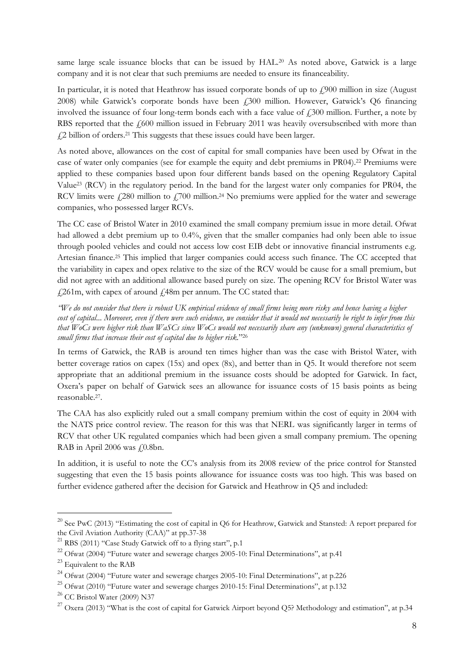same large scale issuance blocks that can be issued by HAL.<sup>20</sup> As noted above, Gatwick is a large company and it is not clear that such premiums are needed to ensure its financeability.

In particular, it is noted that Heathrow has issued corporate bonds of up to  $\frac{1}{2}900$  million in size (August 2008) while Gatwick's corporate bonds have been £300 million. However, Gatwick's Q6 financing involved the issuance of four long-term bonds each with a face value of  $\frac{1}{2}300$  million. Further, a note by RBS reported that the  $\epsilon$ 600 million issued in February 2011 was heavily oversubscribed with more than £2 billion of orders. <sup>21</sup> This suggests that these issues could have been larger.

As noted above, allowances on the cost of capital for small companies have been used by Ofwat in the case of water only companies (see for example the equity and debt premiums in PR04).<sup>22</sup> Premiums were applied to these companies based upon four different bands based on the opening Regulatory Capital Value<sup>23</sup> (RCV) in the regulatory period. In the band for the largest water only companies for PR04, the RCV limits were  $\frac{1}{280}$  million to  $\frac{1}{2700}$  million.<sup>24</sup> No premiums were applied for the water and sewerage companies, who possessed larger RCVs.

The CC case of Bristol Water in 2010 examined the small company premium issue in more detail. Ofwat had allowed a debt premium up to 0.4%, given that the smaller companies had only been able to issue through pooled vehicles and could not access low cost EIB debt or innovative financial instruments e.g. Artesian finance.<sup>25</sup> This implied that larger companies could access such finance. The CC accepted that the variability in capex and opex relative to the size of the RCV would be cause for a small premium, but did not agree with an additional allowance based purely on size. The opening RCV for Bristol Water was  $\frac{1261 \text{m}}{261 \text{m}}$ , with capex of around  $\frac{148 \text{m}}{261 \text{m}}$  per annum. The CC stated that:

*"We do not consider that there is robust UK empirical evidence of small firms being more risky and hence having a higher cost of capital*... *Moreover, even if there were such evidence, we consider that it would not necessarily be right to infer from this that WoCs were higher risk than WaSCs since WoCs would not necessarily share any (unknown) general characteristics of small firms that increase their cost of capital due to higher risk.*" 26

In terms of Gatwick, the RAB is around ten times higher than was the case with Bristol Water, with better coverage ratios on capex (15x) and opex (8x), and better than in Q5. It would therefore not seem appropriate that an additional premium in the issuance costs should be adopted for Gatwick. In fact, Oxera's paper on behalf of Gatwick sees an allowance for issuance costs of 15 basis points as being reasonable.<sup>27</sup> .

The CAA has also explicitly ruled out a small company premium within the cost of equity in 2004 with the NATS price control review. The reason for this was that NERL was significantly larger in terms of RCV that other UK regulated companies which had been given a small company premium. The opening RAB in April 2006 was  $f(0.8bn)$ .

In addition, it is useful to note the CC's analysis from its 2008 review of the price control for Stansted suggesting that even the 15 basis points allowance for issuance costs was too high. This was based on further evidence gathered after the decision for Gatwick and Heathrow in Q5 and included:

-

<sup>&</sup>lt;sup>20</sup> See PwC (2013) "Estimating the cost of capital in Q6 for Heathrow, Gatwick and Stansted: A report prepared for the Civil Aviation Authority (CAA)" at pp.37-38

<sup>&</sup>lt;sup>21</sup> RBS (2011) "Case Study Gatwick off to a flying start", p.1

<sup>&</sup>lt;sup>22</sup> Ofwat (2004) "Future water and sewerage charges 2005-10: Final Determinations", at p.41

<sup>&</sup>lt;sup>23</sup> Equivalent to the RAB

 $^{24}$  Ofwat (2004) "Future water and sewerage charges 2005-10: Final Determinations", at p.226

 $25$  Ofwat (2010) "Future water and sewerage charges 2010-15: Final Determinations", at p.132

<sup>26</sup> CC Bristol Water (2009) N37

<sup>&</sup>lt;sup>27</sup> Oxera (2013) "What is the cost of capital for Gatwick Airport beyond O5? Methodology and estimation", at p.34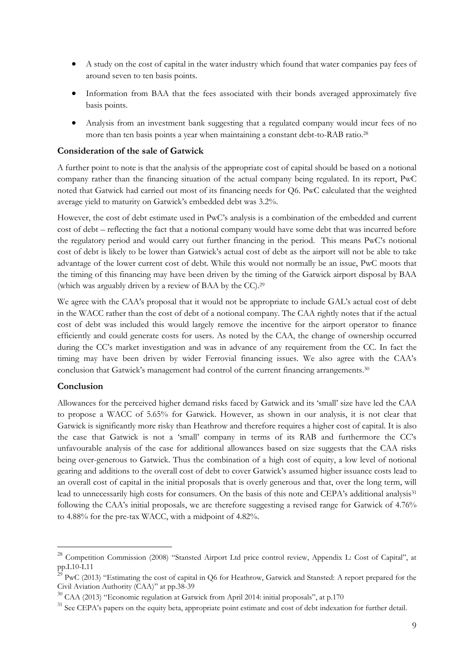- A study on the cost of capital in the water industry which found that water companies pay fees of around seven to ten basis points.
- Information from BAA that the fees associated with their bonds averaged approximately five basis points.
- Analysis from an investment bank suggesting that a regulated company would incur fees of no more than ten basis points a year when maintaining a constant debt-to-RAB ratio.<sup>28</sup>

## **Consideration of the sale of Gatwick**

A further point to note is that the analysis of the appropriate cost of capital should be based on a notional company rather than the financing situation of the actual company being regulated. In its report, PwC noted that Gatwick had carried out most of its financing needs for Q6. PwC calculated that the weighted average yield to maturity on Gatwick's embedded debt was 3.2%.

However, the cost of debt estimate used in PwC's analysis is a combination of the embedded and current cost of debt – reflecting the fact that a notional company would have some debt that was incurred before the regulatory period and would carry out further financing in the period. This means PwC's notional cost of debt is likely to be lower than Gatwick's actual cost of debt as the airport will not be able to take advantage of the lower current cost of debt. While this would not normally be an issue, PwC moots that the timing of this financing may have been driven by the timing of the Gatwick airport disposal by BAA (which was arguably driven by a review of BAA by the CC). 29

We agree with the CAA's proposal that it would not be appropriate to include GAL's actual cost of debt in the WACC rather than the cost of debt of a notional company. The CAA rightly notes that if the actual cost of debt was included this would largely remove the incentive for the airport operator to finance efficiently and could generate costs for users. As noted by the CAA, the change of ownership occurred during the CC's market investigation and was in advance of any requirement from the CC. In fact the timing may have been driven by wider Ferrovial financing issues. We also agree with the CAA's conclusion that Gatwick's management had control of the current financing arrangements.<sup>30</sup>

# **Conclusion**

-

Allowances for the perceived higher demand risks faced by Gatwick and its 'small' size have led the CAA to propose a WACC of 5.65% for Gatwick. However, as shown in our analysis, it is not clear that Gatwick is significantly more risky than Heathrow and therefore requires a higher cost of capital. It is also the case that Gatwick is not a 'small' company in terms of its RAB and furthermore the CC's unfavourable analysis of the case for additional allowances based on size suggests that the CAA risks being over-generous to Gatwick. Thus the combination of a high cost of equity, a low level of notional gearing and additions to the overall cost of debt to cover Gatwick's assumed higher issuance costs lead to an overall cost of capital in the initial proposals that is overly generous and that, over the long term, will lead to unnecessarily high costs for consumers. On the basis of this note and CEPA's additional analysis<sup>31</sup> following the CAA's initial proposals, we are therefore suggesting a revised range for Gatwick of 4.76% to 4.88% for the pre-tax WACC, with a midpoint of 4.82%.

<sup>&</sup>lt;sup>28</sup> Competition Commission (2008) "Stansted Airport Ltd price control review, Appendix L: Cost of Capital", at pp.L10-L11<br> $^{29}$  r

 $PWC$  (2013) "Estimating the cost of capital in Q6 for Heathrow, Gatwick and Stansted: A report prepared for the Civil Aviation Authority (CAA)" at pp.38-39

 $30$  CAA (2013) "Economic regulation at Gatwick from April 2014: initial proposals", at p.170

<sup>&</sup>lt;sup>31</sup> See CEPA's papers on the equity beta, appropriate point estimate and cost of debt indexation for further detail.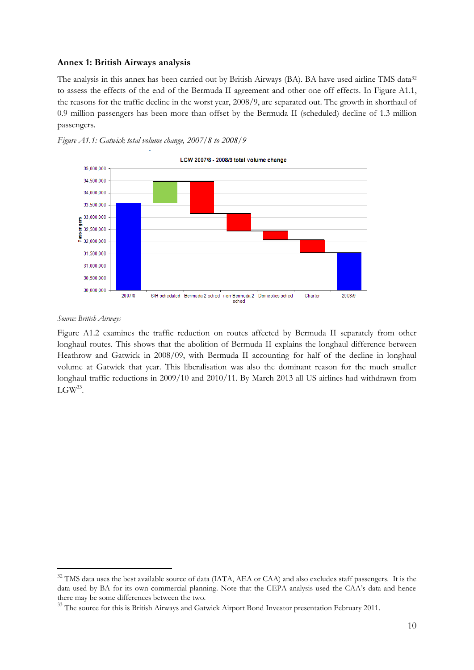## **Annex 1: British Airways analysis**

The analysis in this annex has been carried out by British Airways (BA). BA have used airline TMS data<sup>32</sup> to assess the effects of the end of the Bermuda II agreement and other one off effects. In Figure A1.1, the reasons for the traffic decline in the worst year, 2008/9, are separated out. The growth in shorthaul of 0.9 million passengers has been more than offset by the Bermuda II (scheduled) decline of 1.3 million passengers.





#### *Source: British Airways*

-

Figure A1.2 examines the traffic reduction on routes affected by Bermuda II separately from other longhaul routes. This shows that the abolition of Bermuda II explains the longhaul difference between Heathrow and Gatwick in 2008/09, with Bermuda II accounting for half of the decline in longhaul volume at Gatwick that year. This liberalisation was also the dominant reason for the much smaller longhaul traffic reductions in 2009/10 and 2010/11. By March 2013 all US airlines had withdrawn from  $LGW^{33}$ .

<sup>&</sup>lt;sup>32</sup> TMS data uses the best available source of data (IATA, AEA or CAA) and also excludes staff passengers. It is the data used by BA for its own commercial planning. Note that the CEPA analysis used the CAA's data and hence there may be some differences between the two.

<sup>&</sup>lt;sup>33</sup> The source for this is British Airways and Gatwick Airport Bond Investor presentation February 2011.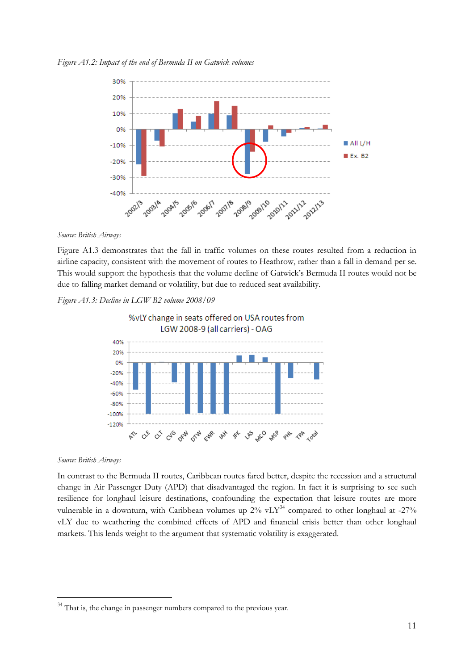*Figure A1.2: Impact of the end of Bermuda II on Gatwick volumes*



#### *Source: British Airways*

Figure A1.3 demonstrates that the fall in traffic volumes on these routes resulted from a reduction in airline capacity, consistent with the movement of routes to Heathrow, rather than a fall in demand per se. This would support the hypothesis that the volume decline of Gatwick's Bermuda II routes would not be due to falling market demand or volatility, but due to reduced seat availability.

## *Figure A1.3: Decline in LGW B2 volume 2008/09*



#### *Source: British Airways*

-

In contrast to the Bermuda II routes, Caribbean routes fared better, despite the recession and a structural change in Air Passenger Duty (APD) that disadvantaged the region. In fact it is surprising to see such resilience for longhaul leisure destinations, confounding the expectation that leisure routes are more vulnerable in a downturn, with Caribbean volumes up  $2\%$  vLY<sup>34</sup> compared to other longhaul at -27% vLY due to weathering the combined effects of APD and financial crisis better than other longhaul markets. This lends weight to the argument that systematic volatility is exaggerated.

 $34$  That is, the change in passenger numbers compared to the previous year.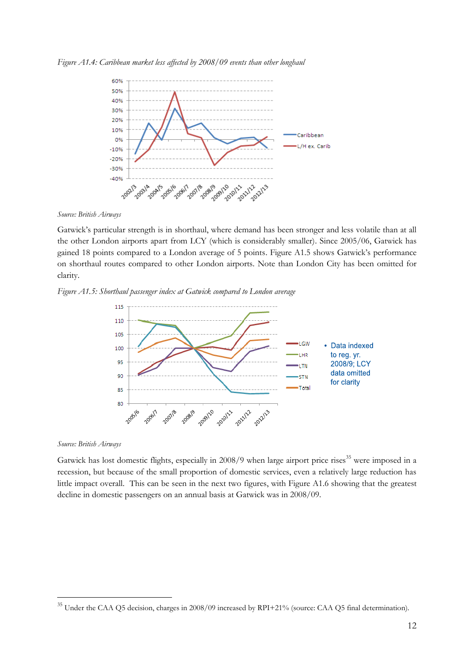



*Source: British Airways*

Gatwick's particular strength is in shorthaul, where demand has been stronger and less volatile than at all the other London airports apart from LCY (which is considerably smaller). Since 2005/06, Gatwick has gained 18 points compared to a London average of 5 points. Figure A1.5 shows Gatwick's performance on shorthaul routes compared to other London airports. Note than London City has been omitted for clarity.

*Figure A1.5: Shorthaul passenger index at Gatwick compared to London average*



#### *Source: British Airways*

-

Gatwick has lost domestic flights, especially in  $2008/9$  when large airport price rises<sup>35</sup> were imposed in a recession, but because of the small proportion of domestic services, even a relatively large reduction has little impact overall. This can be seen in the next two figures, with Figure A1.6 showing that the greatest decline in domestic passengers on an annual basis at Gatwick was in 2008/09.

 $35$  Under the CAA Q5 decision, charges in 2008/09 increased by RPI+21% (source: CAA Q5 final determination).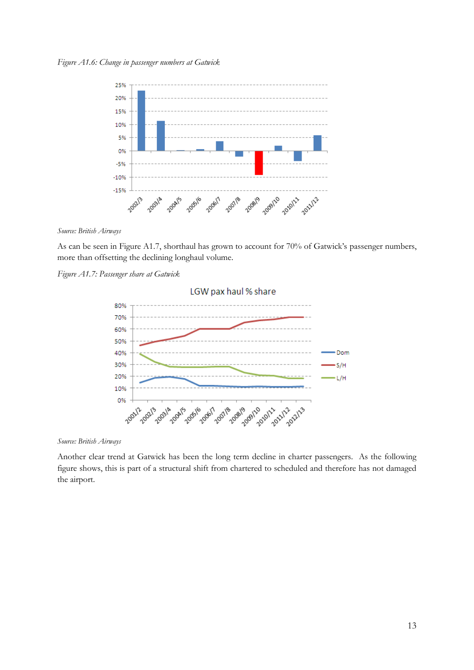

*Source: British Airways*

As can be seen in Figure A1.7, shorthaul has grown to account for 70% of Gatwick's passenger numbers, more than offsetting the declining longhaul volume.

*Figure A1.7: Passenger share at Gatwick* 



*Source: British Airways*

Another clear trend at Gatwick has been the long term decline in charter passengers. As the following figure shows, this is part of a structural shift from chartered to scheduled and therefore has not damaged the airport.